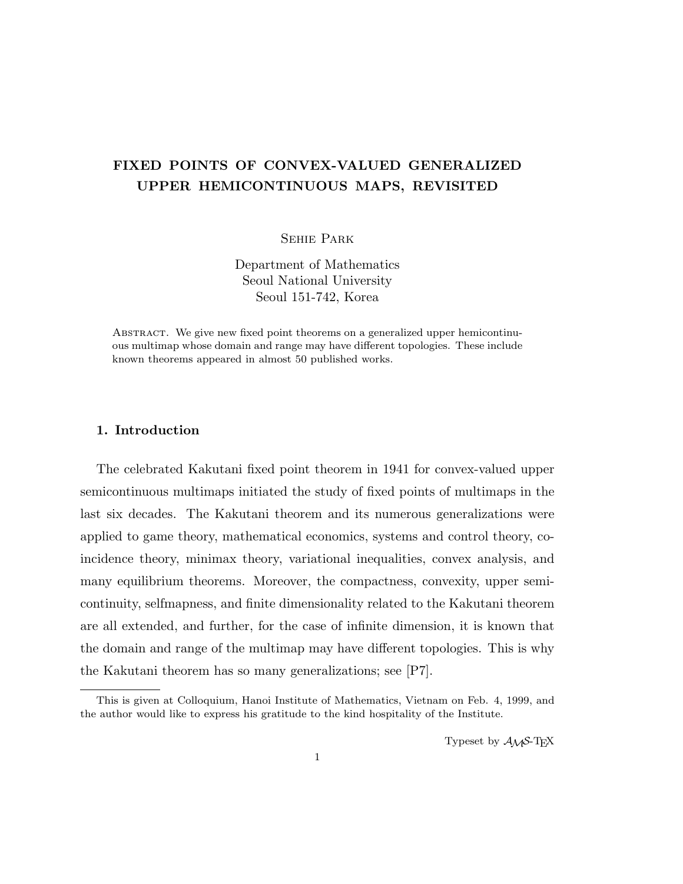# FIXED POINTS OF CONVEX-VALUED GENERALIZED UPPER HEMICONTINUOUS MAPS, REVISITED

Sehie Park

Department of Mathematics Seoul National University Seoul 151-742, Korea

Abstract. We give new fixed point theorems on a generalized upper hemicontinuous multimap whose domain and range may have different topologies. These include known theorems appeared in almost 50 published works.

## 1. Introduction

The celebrated Kakutani fixed point theorem in 1941 for convex-valued upper semicontinuous multimaps initiated the study of fixed points of multimaps in the last six decades. The Kakutani theorem and its numerous generalizations were applied to game theory, mathematical economics, systems and control theory, coincidence theory, minimax theory, variational inequalities, convex analysis, and many equilibrium theorems. Moreover, the compactness, convexity, upper semicontinuity, selfmapness, and finite dimensionality related to the Kakutani theorem are all extended, and further, for the case of infinite dimension, it is known that the domain and range of the multimap may have different topologies. This is why the Kakutani theorem has so many generalizations; see [P7].

Typeset by  $A_{\mathcal{M}}S$ -T<sub>E</sub>X

This is given at Colloquium, Hanoi Institute of Mathematics, Vietnam on Feb. 4, 1999, and the author would like to express his gratitude to the kind hospitality of the Institute.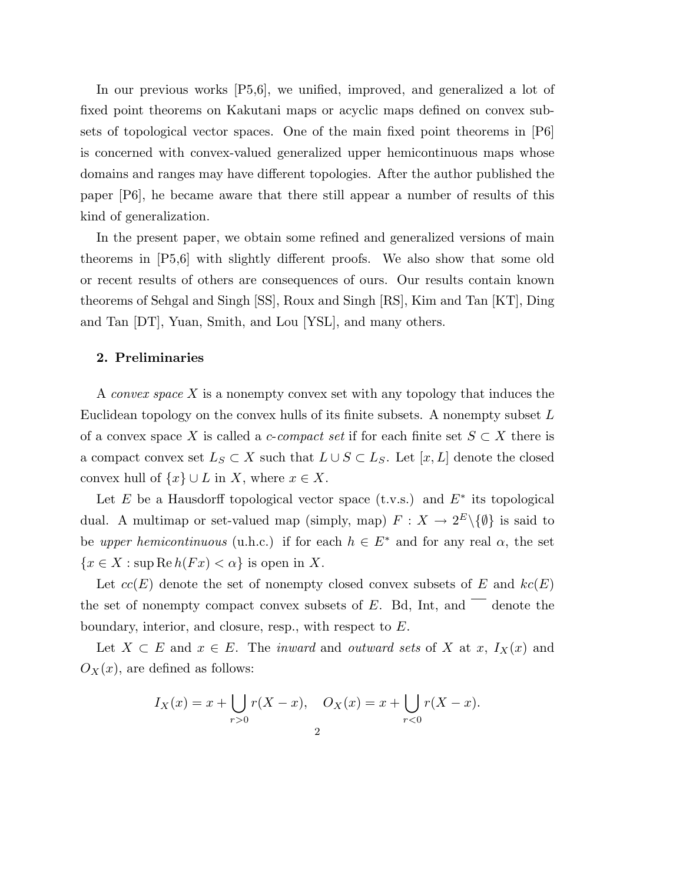In our previous works [P5,6], we unified, improved, and generalized a lot of fixed point theorems on Kakutani maps or acyclic maps defined on convex subsets of topological vector spaces. One of the main fixed point theorems in [P6] is concerned with convex-valued generalized upper hemicontinuous maps whose domains and ranges may have different topologies. After the author published the paper [P6], he became aware that there still appear a number of results of this kind of generalization.

In the present paper, we obtain some refined and generalized versions of main theorems in [P5,6] with slightly different proofs. We also show that some old or recent results of others are consequences of ours. Our results contain known theorems of Sehgal and Singh [SS], Roux and Singh [RS], Kim and Tan [KT], Ding and Tan [DT], Yuan, Smith, and Lou [YSL], and many others.

#### 2. Preliminaries

A convex space X is a nonempty convex set with any topology that induces the Euclidean topology on the convex hulls of its finite subsets. A nonempty subset L of a convex space X is called a *c-compact set* if for each finite set  $S \subset X$  there is a compact convex set  $L_S \subset X$  such that  $L \cup S \subset L_S$ . Let  $[x, L]$  denote the closed convex hull of  $\{x\} \cup L$  in X, where  $x \in X$ .

Let E be a Hausdorff topological vector space  $(t.v.s.)$  and  $E^*$  its topological dual. A multimap or set-valued map (simply, map)  $F: X \to 2^E \setminus \{\emptyset\}$  is said to be upper hemicontinuous (u.h.c.) if for each  $h \in E^*$  and for any real  $\alpha$ , the set  ${x \in X : \text{sup} \, \text{Re} \, h(Fx) < \alpha}$  is open in X.

Let  $cc(E)$  denote the set of nonempty closed convex subsets of E and  $kc(E)$ the set of nonempty compact convex subsets of  $E$ . Bd, Int, and  $\overline{\phantom{a}}$  denote the boundary, interior, and closure, resp., with respect to E.

Let  $X \subset E$  and  $x \in E$ . The *inward* and *outward sets* of X at x,  $I_X(x)$  and  $O_X(x)$ , are defined as follows:

$$
I_X(x) = x + \bigcup_{r>0} r(X - x), \quad O_X(x) = x + \bigcup_{r<0} r(X - x).
$$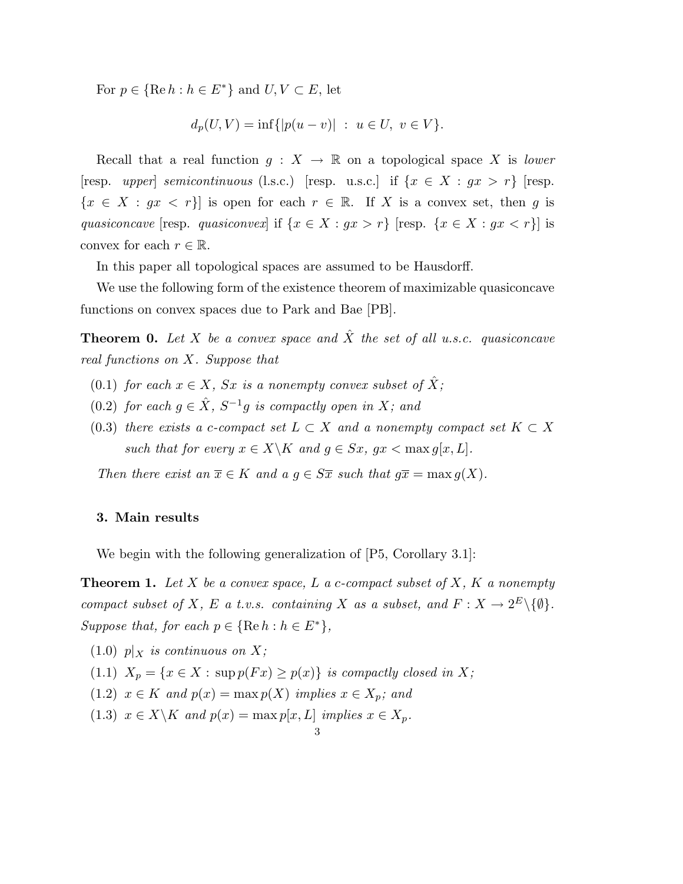For  $p \in {\text{Re } h : h \in E^*}$  and  $U, V \subset E$ , let

$$
d_p(U, V) = \inf\{|p(u - v)| \ : \ u \in U, \ v \in V\}.
$$

Recall that a real function  $g: X \to \mathbb{R}$  on a topological space X is lower [resp. upper] semicontinuous (l.s.c.) [resp. u.s.c.] if  $\{x \in X : gx > r\}$  [resp.  ${x \in X : gx < r}$  is open for each  $r \in \mathbb{R}$ . If X is a convex set, then g is quasiconcave [resp. quasiconvex] if  $\{x \in X : gx > r\}$  [resp.  $\{x \in X : gx < r\}$ ] is convex for each  $r \in \mathbb{R}$ .

In this paper all topological spaces are assumed to be Hausdorff.

We use the following form of the existence theorem of maximizable quasiconcave functions on convex spaces due to Park and Bae [PB].

**Theorem 0.** Let X be a convex space and  $\hat{X}$  the set of all u.s.c. quasiconcave real functions on X. Suppose that

- (0.1) for each  $x \in X$ , Sx is a nonempty convex subset of  $\hat{X}$ ;
- (0.2) for each  $g \in \hat{X}$ ,  $S^{-1}g$  is compactly open in X; and
- (0.3) there exists a c-compact set  $L \subset X$  and a nonempty compact set  $K \subset X$ such that for every  $x \in X \backslash K$  and  $q \in Sx$ ,  $qx < \max q[x, L]$ .

Then there exist an  $\overline{x} \in K$  and  $a \in S\overline{x}$  such that  $q\overline{x} = \max q(X)$ .

### 3. Main results

We begin with the following generalization of  $[P5, Corollary 3.1]$ :

**Theorem 1.** Let X be a convex space, L a c-compact subset of X, K a nonempty compact subset of X, E a t.v.s. containing X as a subset, and  $F: X \to 2^E \setminus \{\emptyset\}.$ Suppose that, for each  $p \in {\text{Re } h : h \in E^*}$ ,

- $(1.0)$  p|x is continuous on X;
- (1.1)  $X_p = \{x \in X : \sup p(Fx) \geq p(x)\}\$ is compactly closed in X;
- (1.2)  $x \in K$  and  $p(x) = \max p(X)$  implies  $x \in X_p$ ; and
- (1.3)  $x \in X \backslash K$  and  $p(x) = \max p[x, L]$  implies  $x \in X_p$ .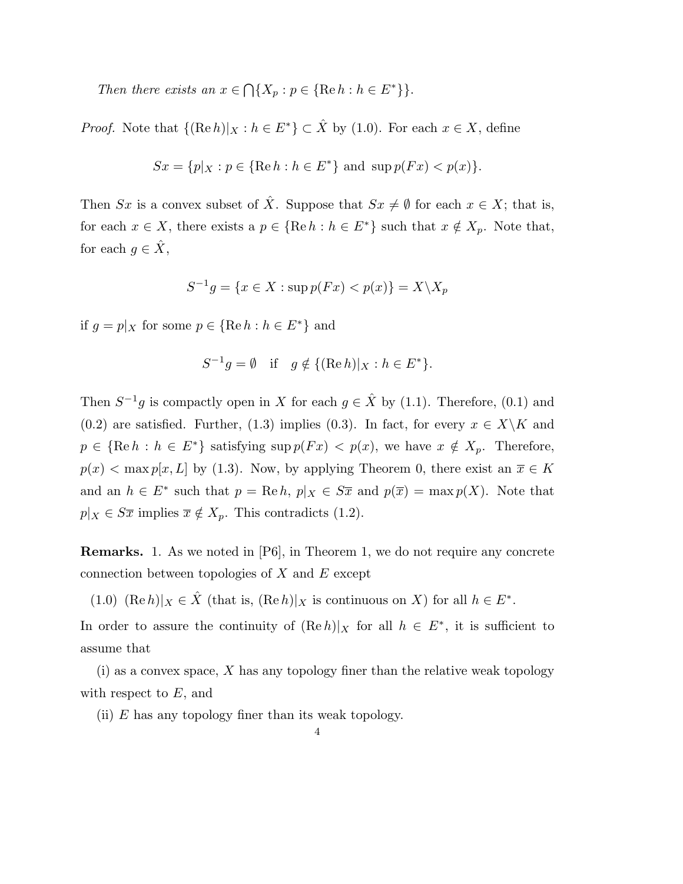Then there exists an  $x \in$  $\bigcap \{X_p : p \in \{\text{Re } h : h \in E^*\}\}.$ 

*Proof.* Note that  ${(\text{Re } h)|_X : h \in E^*} \subset \hat{X}$  by (1.0). For each  $x \in X$ , define

$$
Sx = \{p|_X : p \in \{\text{Re } h : h \in E^*\}\text{ and } \sup p(Fx) < p(x)\}.
$$

Then Sx is a convex subset of  $\hat{X}$ . Suppose that  $Sx \neq \emptyset$  for each  $x \in X$ ; that is, for each  $x \in X$ , there exists a  $p \in {\{ \text{Re } h : h \in E^* \}}$  such that  $x \notin X_p$ . Note that, for each  $g \in \hat{X}$ ,

$$
S^{-1}g = \{x \in X : \sup p(Fx) < p(x)\} = X \setminus X_p
$$

if  $g = p|_X$  for some  $p \in {\text{Re } h : h \in E^*}$  and

$$
S^{-1}g = \emptyset \quad \text{if} \quad g \notin \{ (\text{Re } h)|_X : h \in E^* \}.
$$

Then  $S^{-1}g$  is compactly open in X for each  $g \in \hat{X}$  by (1.1). Therefore, (0.1) and (0.2) are satisfied. Further, (1.3) implies (0.3). In fact, for every  $x \in X\backslash K$  and  $p \in {\text{Re } h : h \in E^* }$  satisfying sup  $p(Fx) < p(x)$ , we have  $x \notin X_p$ . Therefore,  $p(x) < \max p[x, L]$  by (1.3). Now, by applying Theorem 0, there exist an  $\overline{x} \in K$ and an  $h \in E^*$  such that  $p = \text{Re } h$ ,  $p|_X \in S\overline{x}$  and  $p(\overline{x}) = \max p(X)$ . Note that  $p|_X \in S\overline{x}$  implies  $\overline{x} \notin X_p$ . This contradicts (1.2).

Remarks. 1. As we noted in [P6], in Theorem 1, we do not require any concrete connection between topologies of  $X$  and  $E$  except

(1.0)  $(\text{Re } h)|_X \in \hat{X}$  (that is,  $(\text{Re } h)|_X$  is continuous on X) for all  $h \in E^*$ .

In order to assure the continuity of  $(Re h)|_X$  for all  $h \in E^*$ , it is sufficient to assume that

 $(i)$  as a convex space, X has any topology finer than the relative weak topology with respect to  $E$ , and

(ii)  $E$  has any topology finer than its weak topology.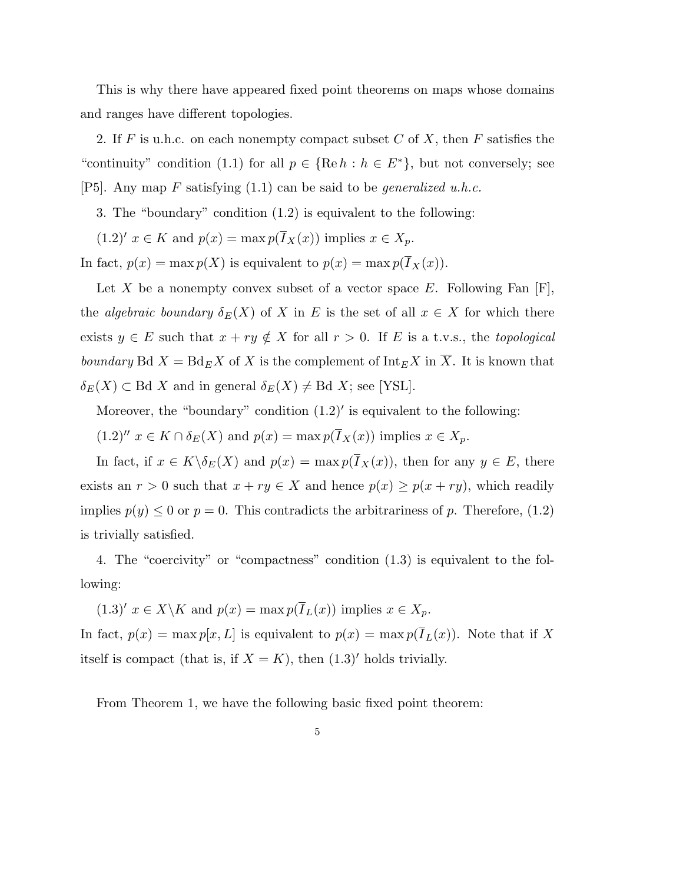This is why there have appeared fixed point theorems on maps whose domains and ranges have different topologies.

2. If F is u.h.c. on each nonempty compact subset C of X, then F satisfies the "continuity" condition (1.1) for all  $p \in \{ \text{Re } h : h \in E^* \}$ , but not conversely; see [P5]. Any map F satisfying  $(1.1)$  can be said to be *generalized u.h.c.* 

3. The "boundary" condition (1.2) is equivalent to the following:

 $(1.2)'$   $x \in K$  and  $p(x) = \max p(\overline{I}_X(x))$  implies  $x \in X_p$ .

In fact,  $p(x) = \max p(X)$  is equivalent to  $p(x) = \max p(\overline{I}_X(x)).$ 

Let X be a nonempty convex subset of a vector space E. Following Fan  $[F]$ , the algebraic boundary  $\delta_E(X)$  of X in E is the set of all  $x \in X$  for which there exists  $y \in E$  such that  $x + ry \notin X$  for all  $r > 0$ . If E is a t.v.s., the topological boundary Bd  $X = Bd_E X$  of X is the complement of  $\text{Int}_E X$  in  $\overline{X}$ . It is known that  $\delta_E(X) \subset \text{Bd } X$  and in general  $\delta_E(X) \neq \text{Bd } X$ ; see [YSL].

Moreover, the "boundary" condition  $(1.2)'$  is equivalent to the following:

 $(1.2)''$   $x \in K \cap \delta_E(X)$  and  $p(x) = \max p(\overline{I}_X(x))$  implies  $x \in X_p$ .

In fact, if  $x \in K \backslash \delta_E(X)$  and  $p(x) = \max p(\overline{I}_X(x))$ , then for any  $y \in E$ , there exists an  $r > 0$  such that  $x + ry \in X$  and hence  $p(x) \ge p(x + ry)$ , which readily implies  $p(y) \leq 0$  or  $p = 0$ . This contradicts the arbitrariness of p. Therefore, (1.2) is trivially satisfied.

4. The "coercivity" or "compactness" condition (1.3) is equivalent to the following:

 $(1.3)'$   $x \in X \backslash K$  and  $p(x) = \max p(\overline{I}_L(x))$  implies  $x \in X_p$ . In fact,  $p(x) = \max p[x, L]$  is equivalent to  $p(x) = \max p(I_L(x))$ . Note that if X itself is compact (that is, if  $X = K$ ), then  $(1.3)'$  holds trivially.

From Theorem 1, we have the following basic fixed point theorem: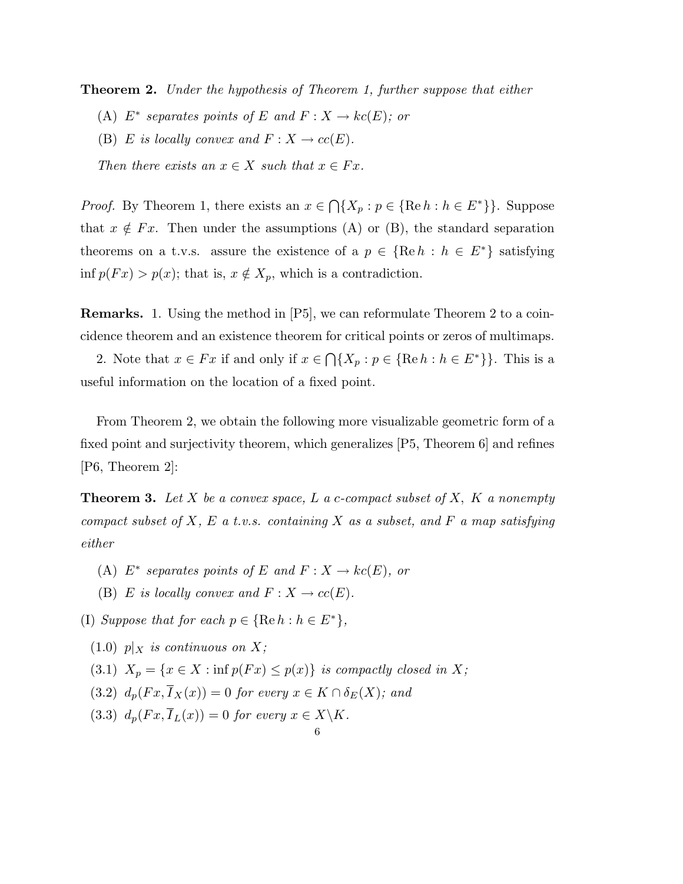**Theorem 2.** Under the hypothesis of Theorem 1, further suppose that either

- (A)  $E^*$  separates points of E and  $F: X \to kc(E)$ ; or
- (B) E is locally convex and  $F: X \to cc(E)$ .

Then there exists an  $x \in X$  such that  $x \in Fx$ .

*Proof.* By Theorem 1, there exists an  $x \in$  $\bigcap \{X_p : p \in \{\text{Re } h : h \in E^*\}\}\.$  Suppose that  $x \notin F_x$ . Then under the assumptions (A) or (B), the standard separation theorems on a t.v.s. assure the existence of a  $p \in \{ \text{Re } h : h \in E^* \}$  satisfying inf  $p(Fx) > p(x)$ ; that is,  $x \notin X_p$ , which is a contradiction.

Remarks. 1. Using the method in [P5], we can reformulate Theorem 2 to a coincidence theorem and an existence theorem for critical points or zeros of multimaps.

2. Note that  $x \in Fx$  if and only if  $x \in$  $\bigcap \{X_p : p \in \{\text{Re } h : h \in E^*\}\}\.$  This is a useful information on the location of a fixed point.

From Theorem 2, we obtain the following more visualizable geometric form of a fixed point and surjectivity theorem, which generalizes [P5, Theorem 6] and refines [P6, Theorem 2]:

**Theorem 3.** Let X be a convex space, L a c-compact subset of X, K a nonempty compact subset of  $X$ ,  $E$  a t.v.s. containing  $X$  as a subset, and  $F$  a map satisfying either

- (A)  $E^*$  separates points of E and  $F: X \to kc(E)$ , or
- (B) E is locally convex and  $F: X \to cc(E)$ .
- (I) Suppose that for each  $p \in \{ \text{Re } h : h \in E^* \},$ 
	- $(1.0)$  p|x is continuous on X;
	- (3.1)  $X_p = \{x \in X : \inf p(Fx) \leq p(x)\}\$ is compactly closed in X;
	- (3.2)  $d_p(Fx, \overline{I}_X(x)) = 0$  for every  $x \in K \cap \delta_E(X)$ ; and
	- (3.3)  $d_p(Fx, \overline{I}_L(x)) = 0$  for every  $x \in X \backslash K$ .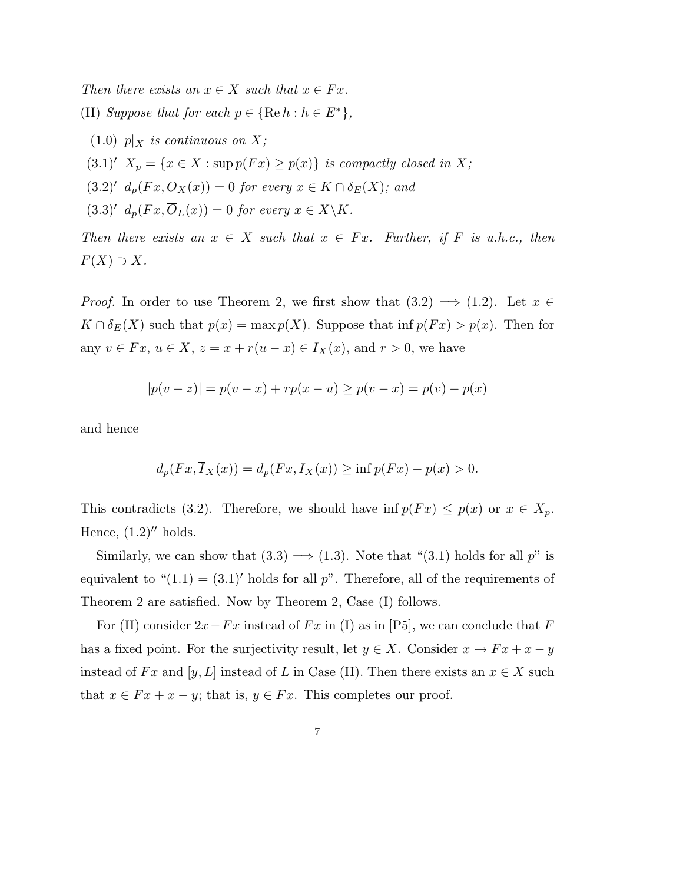Then there exists an  $x \in X$  such that  $x \in Fx$ .

- (II) Suppose that for each  $p \in \{ \text{Re } h : h \in E^* \},$ 
	- $(1.0)$   $p|_X$  is continuous on X;
- $(3.1)'$   $X_p = \{x \in X : \sup p(Fx) \geq p(x)\}\$ is compactly closed in X;
- $(3.2)'$   $d_p(Fx, \overline{O}_X(x)) = 0$  for every  $x \in K \cap \delta_E(X)$ ; and
- $(3.3)'$   $d_p(Fx, \overline{O}_L(x)) = 0$  for every  $x \in X\backslash K$ .

Then there exists an  $x \in X$  such that  $x \in Fx$ . Further, if F is u.h.c., then  $F(X) \supset X$ .

*Proof.* In order to use Theorem 2, we first show that  $(3.2) \implies (1.2)$ . Let  $x \in$  $K \cap \delta_E(X)$  such that  $p(x) = \max p(X)$ . Suppose that  $\inf p(Fx) > p(x)$ . Then for any  $v \in Fx$ ,  $u \in X$ ,  $z = x + r(u - x) \in I_X(x)$ , and  $r > 0$ , we have

$$
|p(v - z)| = p(v - x) + rp(x - u) \ge p(v - x) = p(v) - p(x)
$$

and hence

$$
d_p(Fx, \overline{I}_X(x)) = d_p(Fx, I_X(x)) \ge \inf p(Fx) - p(x) > 0.
$$

This contradicts (3.2). Therefore, we should have  $\inf p(Fx) \leq p(x)$  or  $x \in X_p$ . Hence,  $(1.2)$ <sup>"</sup> holds.

Similarly, we can show that  $(3.3) \Longrightarrow (1.3)$ . Note that " $(3.1)$  holds for all p" is equivalent to " $(1.1) = (3.1)'$  holds for all p". Therefore, all of the requirements of Theorem 2 are satisfied. Now by Theorem 2, Case (I) follows.

For (II) consider  $2x-Fx$  instead of  $Fx$  in (I) as in [P5], we can conclude that F has a fixed point. For the surjectivity result, let  $y \in X$ . Consider  $x \mapsto Fx + x - y$ instead of Fx and [y, L] instead of L in Case (II). Then there exists an  $x \in X$  such that  $x \in Fx + x - y$ ; that is,  $y \in Fx$ . This completes our proof.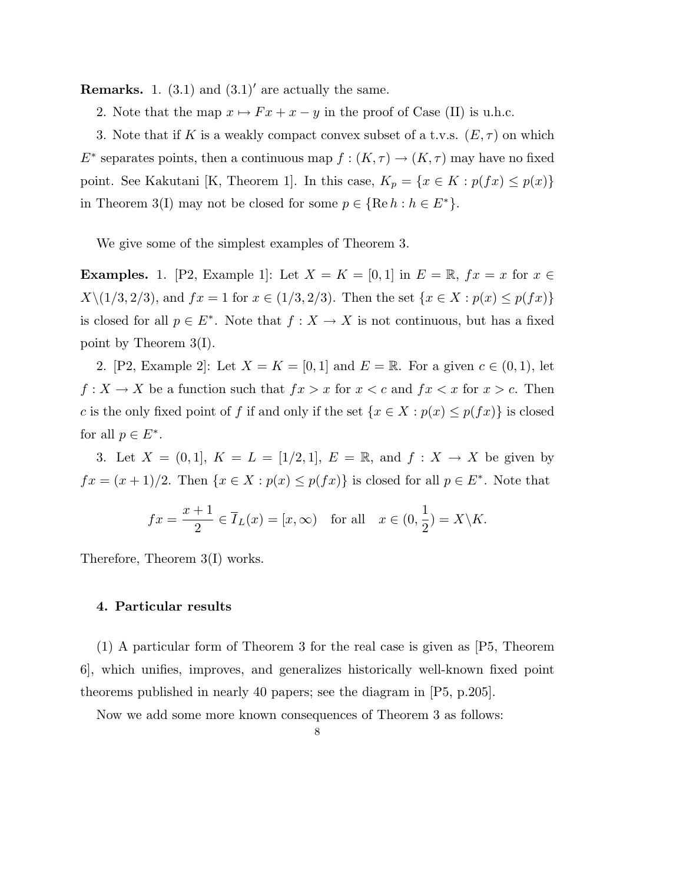**Remarks.** 1.  $(3.1)$  and  $(3.1)'$  are actually the same.

2. Note that the map  $x \mapsto F x + x - y$  in the proof of Case (II) is u.h.c.

3. Note that if K is a weakly compact convex subset of a t.v.s.  $(E, \tau)$  on which  $E^*$  separates points, then a continuous map  $f : (K, \tau) \to (K, \tau)$  may have no fixed point. See Kakutani [K, Theorem 1]. In this case,  $K_p = \{x \in K : p(fx) \leq p(x)\}\$ in Theorem 3(I) may not be closed for some  $p \in \{ \text{Re } h : h \in E^* \}.$ 

We give some of the simplest examples of Theorem 3.

**Examples.** 1. [P2, Example 1]: Let  $X = K = [0, 1]$  in  $E = \mathbb{R}$ ,  $fx = x$  for  $x \in$  $X\setminus(1/3, 2/3)$ , and  $fx = 1$  for  $x \in (1/3, 2/3)$ . Then the set  $\{x \in X : p(x) \le p(fx)\}\$ is closed for all  $p \in E^*$ . Note that  $f: X \to X$  is not continuous, but has a fixed point by Theorem 3(I).

2. [P2, Example 2]: Let  $X = K = [0, 1]$  and  $E = \mathbb{R}$ . For a given  $c \in (0, 1)$ , let  $f: X \to X$  be a function such that  $fx > x$  for  $x < c$  and  $fx < x$  for  $x > c$ . Then c is the only fixed point of f if and only if the set  $\{x \in X : p(x) \leq p(fx)\}\$ is closed for all  $p \in E^*$ .

3. Let  $X = (0, 1], K = L = [1/2, 1], E = \mathbb{R}, \text{ and } f : X \to X$  be given by  $fx = (x+1)/2$ . Then  $\{x \in X : p(x) \leq p(fx)\}\$ is closed for all  $p \in E^*$ . Note that

$$
fx = \frac{x+1}{2} \in \overline{I}_L(x) = [x, \infty) \quad \text{for all} \quad x \in (0, \frac{1}{2}) = X \backslash K.
$$

Therefore, Theorem 3(I) works.

#### 4. Particular results

(1) A particular form of Theorem 3 for the real case is given as [P5, Theorem 6], which unifies, improves, and generalizes historically well-known fixed point theorems published in nearly 40 papers; see the diagram in [P5, p.205].

Now we add some more known consequences of Theorem 3 as follows: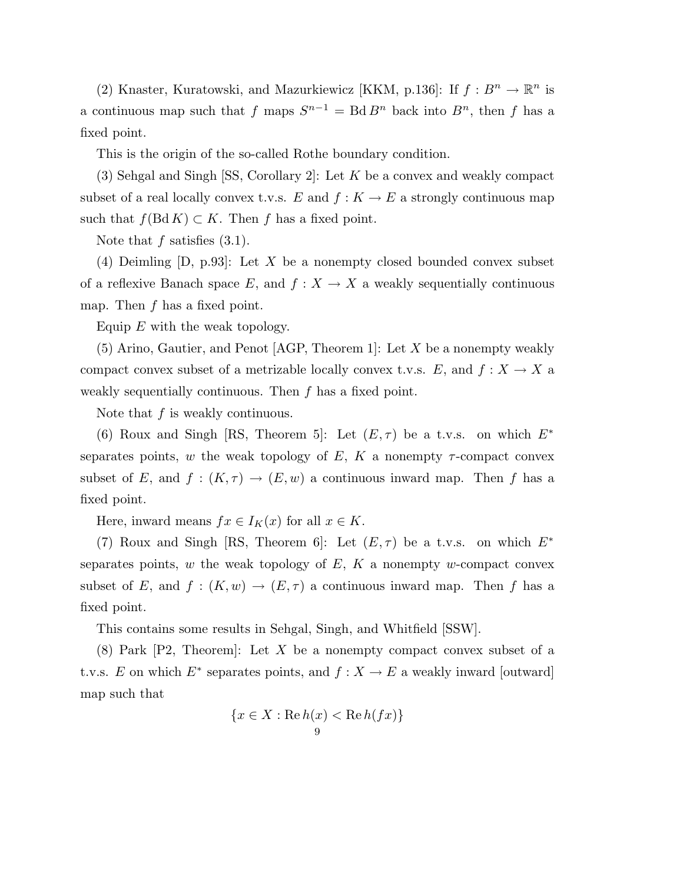(2) Knaster, Kuratowski, and Mazurkiewicz [KKM, p.136]: If  $f: B^n \to \mathbb{R}^n$  is a continuous map such that f maps  $S^{n-1} = \text{Bd} B^n$  back into  $B^n$ , then f has a fixed point.

This is the origin of the so-called Rothe boundary condition.

(3) Sehgal and Singh  $[SS, Corollary 2]$ : Let K be a convex and weakly compact subset of a real locally convex t.v.s.  $E$  and  $f: K \to E$  a strongly continuous map such that  $f(Bd K) \subset K$ . Then f has a fixed point.

Note that  $f$  satisfies  $(3.1)$ .

(4) Deimling  $[D, p.93]$ : Let X be a nonempty closed bounded convex subset of a reflexive Banach space E, and  $f: X \to X$  a weakly sequentially continuous map. Then  $f$  has a fixed point.

Equip  $E$  with the weak topology.

(5) Arino, Gautier, and Penot [AGP, Theorem 1]: Let X be a nonempty weakly compact convex subset of a metrizable locally convex t.v.s. E, and  $f: X \to X$  a weakly sequentially continuous. Then f has a fixed point.

Note that  $f$  is weakly continuous.

(6) Roux and Singh [RS, Theorem 5]: Let  $(E, \tau)$  be a t.v.s. on which  $E^*$ separates points, w the weak topology of E, K a nonempty  $\tau$ -compact convex subset of E, and  $f : (K, \tau) \to (E, w)$  a continuous inward map. Then f has a fixed point.

Here, inward means  $fx \in I_K(x)$  for all  $x \in K$ .

(7) Roux and Singh [RS, Theorem 6]: Let  $(E, \tau)$  be a t.v.s. on which  $E^*$ separates points,  $w$  the weak topology of  $E$ ,  $K$  a nonempty  $w$ -compact convex subset of E, and  $f : (K, w) \to (E, \tau)$  a continuous inward map. Then f has a fixed point.

This contains some results in Sehgal, Singh, and Whitfield [SSW].

(8) Park [P2, Theorem]: Let X be a nonempty compact convex subset of a t.v.s. E on which  $E^*$  separates points, and  $f: X \to E$  a weakly inward [outward] map such that

$$
\{x \in X : \operatorname{Re} h(x) < \operatorname{Re} h(fx)\}\
$$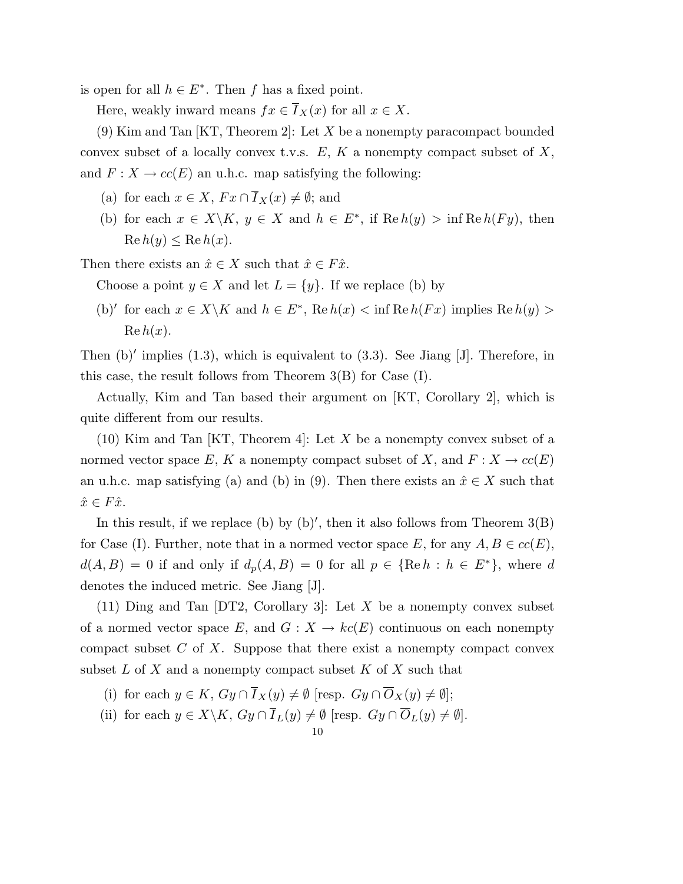is open for all  $h \in E^*$ . Then f has a fixed point.

Here, weakly inward means  $fx \in \overline{I}_X(x)$  for all  $x \in X$ .

(9) Kim and Tan [KT, Theorem 2]: Let X be a nonempty paracompact bounded convex subset of a locally convex t.v.s.  $E, K$  a nonempty compact subset of  $X$ , and  $F: X \to cc(E)$  an u.h.c. map satisfying the following:

- (a) for each  $x \in X$ ,  $Fx \cap \overline{I}_X(x) \neq \emptyset$ ; and
- (b) for each  $x \in X \backslash K$ ,  $y \in X$  and  $h \in E^*$ , if  $\text{Re } h(y) > \inf \text{Re } h(Fy)$ , then  $\text{Re } h(y) \leq \text{Re } h(x)$ .

Then there exists an  $\hat{x} \in X$  such that  $\hat{x} \in F\hat{x}$ .

Choose a point  $y \in X$  and let  $L = \{y\}$ . If we replace (b) by

(b)' for each  $x \in X \backslash K$  and  $h \in E^*$ , Re  $h(x) < \inf \operatorname{Re} h(Fx)$  implies  $\operatorname{Re} h(y) >$  $\operatorname{Re} h(x)$ .

Then  $(b)'$  implies  $(1.3)$ , which is equivalent to  $(3.3)$ . See Jiang [J]. Therefore, in this case, the result follows from Theorem 3(B) for Case (I).

Actually, Kim and Tan based their argument on [KT, Corollary 2], which is quite different from our results.

 $(10)$  Kim and Tan KT, Theorem 4. Let X be a nonempty convex subset of a normed vector space E, K a nonempty compact subset of X, and  $F: X \to cc(E)$ an u.h.c. map satisfying (a) and (b) in (9). Then there exists an  $\hat{x} \in X$  such that  $\hat{x} \in F\hat{x}$ .

In this result, if we replace (b) by  $(b)'$ , then it also follows from Theorem  $3(B)$ for Case (I). Further, note that in a normed vector space E, for any  $A, B \in cc(E)$ ,  $d(A, B) = 0$  if and only if  $d_p(A, B) = 0$  for all  $p \in \{\text{Re } h : h \in E^*\},$  where d denotes the induced metric. See Jiang [J].

(11) Ding and Tan  $[DT2, Corollary 3]$ : Let X be a nonempty convex subset of a normed vector space E, and  $G: X \to kc(E)$  continuous on each nonempty compact subset  $C$  of  $X$ . Suppose that there exist a nonempty compact convex subset  $L$  of  $X$  and a nonempty compact subset  $K$  of  $X$  such that

- (i) for each  $y \in K$ ,  $Gy \cap \overline{I}_X(y) \neq \emptyset$  [resp.  $Gy \cap \overline{O}_X(y) \neq \emptyset$ ];
- (ii) for each  $y \in X \backslash K$ ,  $Gy \cap \overline{I}_L(y) \neq \emptyset$  [resp.  $Gy \cap \overline{O}_L(y) \neq \emptyset$ ].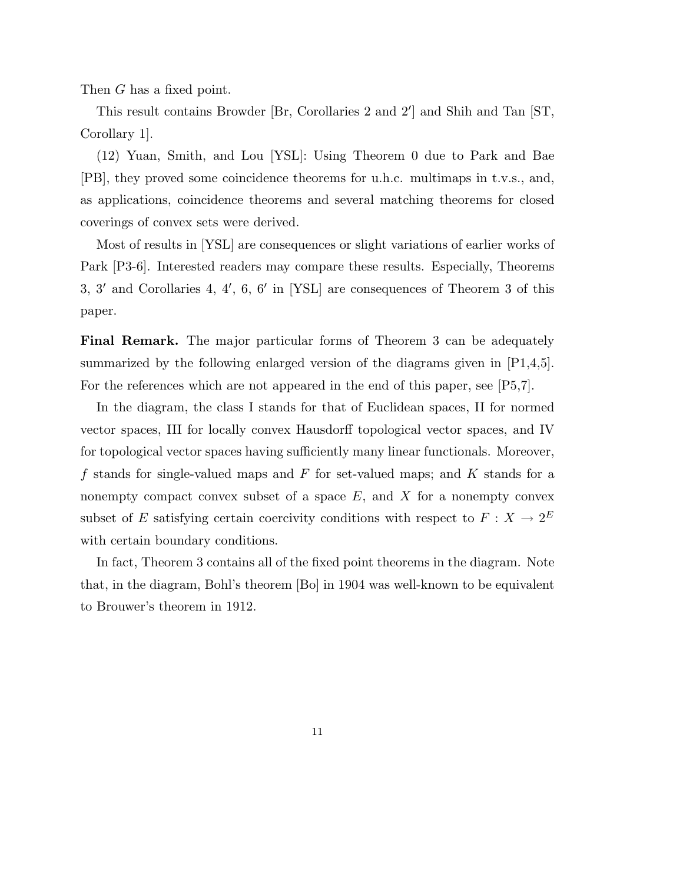Then G has a fixed point.

This result contains Browder [Br, Corollaries 2 and  $2'$ ] and Shih and Tan [ST, Corollary 1].

(12) Yuan, Smith, and Lou [YSL]: Using Theorem 0 due to Park and Bae [PB], they proved some coincidence theorems for u.h.c. multimaps in t.v.s., and, as applications, coincidence theorems and several matching theorems for closed coverings of convex sets were derived.

Most of results in [YSL] are consequences or slight variations of earlier works of Park [P3-6]. Interested readers may compare these results. Especially, Theorems 3, 3' and Corollaries 4, 4', 6,  $6'$  in [YSL] are consequences of Theorem 3 of this paper.

Final Remark. The major particular forms of Theorem 3 can be adequately summarized by the following enlarged version of the diagrams given in [P1,4,5]. For the references which are not appeared in the end of this paper, see [P5,7].

In the diagram, the class I stands for that of Euclidean spaces, II for normed vector spaces, III for locally convex Hausdorff topological vector spaces, and IV for topological vector spaces having sufficiently many linear functionals. Moreover, f stands for single-valued maps and  $F$  for set-valued maps; and  $K$  stands for a nonempty compact convex subset of a space  $E$ , and  $X$  for a nonempty convex subset of E satisfying certain coercivity conditions with respect to  $F: X \to 2^E$ with certain boundary conditions.

In fact, Theorem 3 contains all of the fixed point theorems in the diagram. Note that, in the diagram, Bohl's theorem [Bo] in 1904 was well-known to be equivalent to Brouwer's theorem in 1912.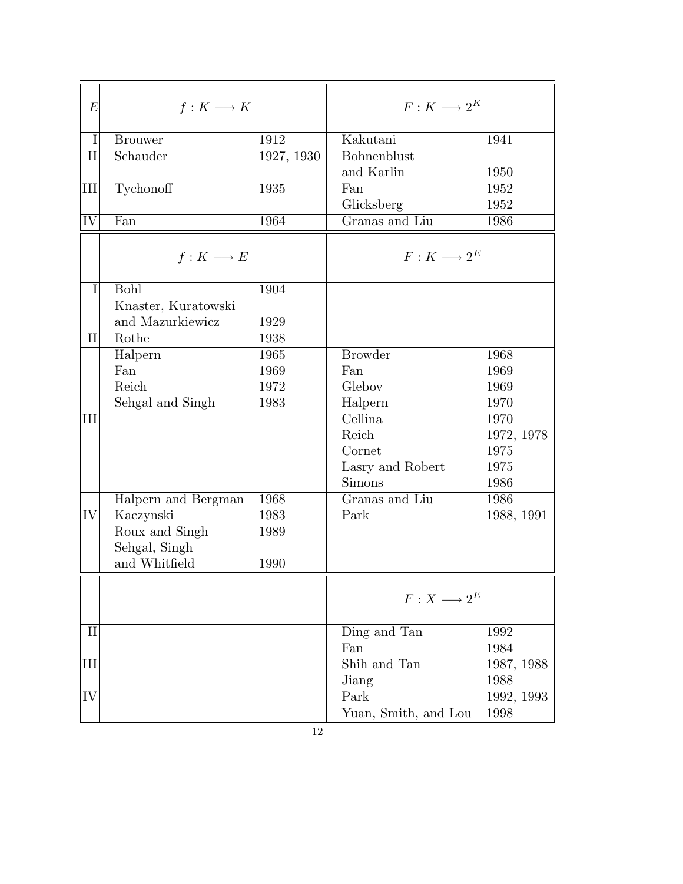| $E\,$     | $f: K \longrightarrow K$ |            | $F:K\longrightarrow 2^K$ |            |  |
|-----------|--------------------------|------------|--------------------------|------------|--|
| I         | <b>Brouwer</b>           | 1912       | Kakutani                 | 1941       |  |
| $\rm II$  | Schauder                 | 1927, 1930 | Bohnenblust              |            |  |
|           |                          |            | and Karlin               | 1950       |  |
| IШ        | Tychonoff                | 1935       | Fan                      | 1952       |  |
|           |                          |            | Glicksberg               | 1952       |  |
| IV        | Fan                      | 1964       | Granas and Liu           | 1986       |  |
|           | $f: K \longrightarrow E$ |            | $F:K\longrightarrow 2^E$ |            |  |
| Ι         | Bohl                     | 1904       |                          |            |  |
|           | Knaster, Kuratowski      |            |                          |            |  |
|           | and Mazurkiewicz         | 1929       |                          |            |  |
| $\rm II$  | Rothe                    | 1938       |                          |            |  |
|           | Halpern                  | 1965       | <b>Browder</b>           | 1968       |  |
|           | Fan                      | 1969       | Fan                      | 1969       |  |
|           | Reich                    | 1972       | Glebov                   | 1969       |  |
|           | Sehgal and Singh         | 1983       | Halpern                  | 1970       |  |
| $\rm III$ |                          |            | Cellina                  | 1970       |  |
|           |                          |            | Reich                    | 1972, 1978 |  |
|           |                          |            | Cornet                   | 1975       |  |
|           |                          |            | Lasry and Robert         | 1975       |  |
|           |                          |            | <b>Simons</b>            | 1986       |  |
|           | Halpern and Bergman      | 1968       | Granas and Liu           | 1986       |  |
| IV        | Kaczynski                | 1983       | Park                     | 1988, 1991 |  |
|           | Roux and Singh           | 1989       |                          |            |  |
|           | Sehgal, Singh            |            |                          |            |  |
|           | and Whitfield            | 1990       |                          |            |  |
|           |                          |            | $F:X\longrightarrow 2^E$ |            |  |
| $\rm II$  |                          |            | Ding and Tan             | 1992       |  |
|           |                          |            | Fan                      | 1984       |  |
| IП        |                          |            | Shih and Tan             | 1987, 1988 |  |
|           |                          |            | Jiang                    | 1988       |  |
| IV        |                          |            | Park                     | 1992, 1993 |  |
|           |                          |            | Yuan, Smith, and Lou     | 1998       |  |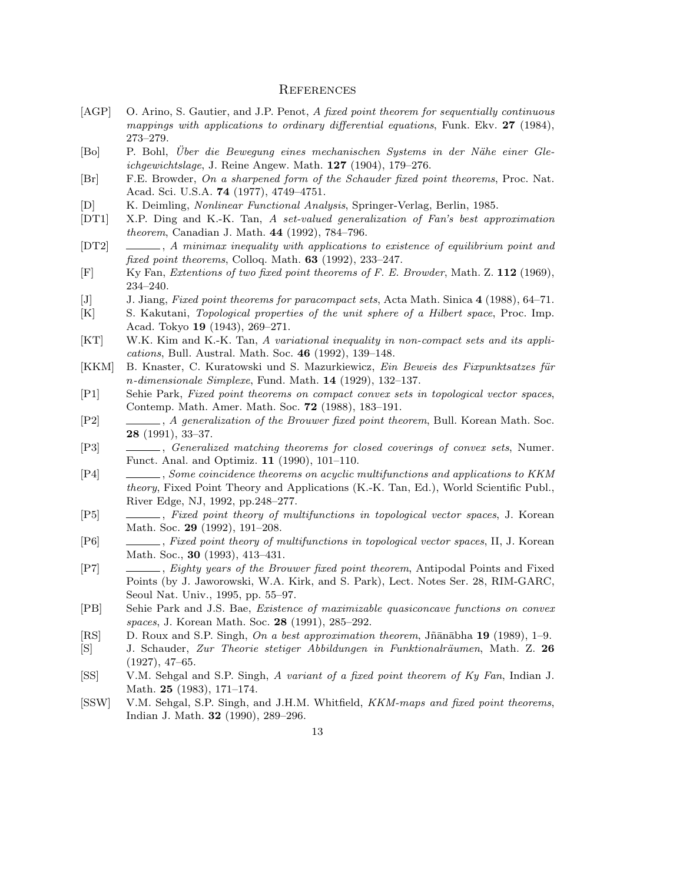#### **REFERENCES**

- [AGP] O. Arino, S. Gautier, and J.P. Penot, A fixed point theorem for sequentially continuous mappings with applications to ordinary differential equations, Funk. Ekv. 27 (1984), 273–279.
- [Bo] P. Bohl, Uber die Bewegung eines mechanischen Systems in der N¨ahe einer Gle- ¨ ichgewichtslage, J. Reine Angew. Math. 127 (1904), 179–276.
- [Br] F.E. Browder, On a sharpened form of the Schauder fixed point theorems, Proc. Nat. Acad. Sci. U.S.A. 74 (1977), 4749–4751.
- [D] K. Deimling, Nonlinear Functional Analysis, Springer-Verlag, Berlin, 1985.
- [DT1] X.P. Ding and K.-K. Tan, A set-valued generalization of Fan's best approximation theorem, Canadian J. Math. 44 (1992), 784–796.
- [DT2]  $\_\_\_\_\_$ , A minimax inequality with applications to existence of equilibrium point and fixed point theorems, Colloq. Math. 63 (1992), 233–247.
- [F] Ky Fan, Extentions of two fixed point theorems of F. E. Browder, Math. Z. 112 (1969), 234–240.
- [J] J. Jiang, Fixed point theorems for paracompact sets, Acta Math. Sinica 4 (1988), 64–71.
- [K] S. Kakutani, Topological properties of the unit sphere of a Hilbert space, Proc. Imp. Acad. Tokyo 19 (1943), 269–271.
- [KT] W.K. Kim and K.-K. Tan, A variational inequality in non-compact sets and its applications, Bull. Austral. Math. Soc. 46 (1992), 139–148.
- [KKM] B. Knaster, C. Kuratowski und S. Mazurkiewicz, Ein Beweis des Fixpunktsatzes für n-dimensionale Simplexe, Fund. Math. 14 (1929), 132–137.
- [P1] Sehie Park, Fixed point theorems on compact convex sets in topological vector spaces, Contemp. Math. Amer. Math. Soc. 72 (1988), 183–191.
- [P2] , A generalization of the Brouwer fixed point theorem, Bull. Korean Math. Soc. 28 (1991), 33–37.
- [P3] , Generalized matching theorems for closed coverings of convex sets, Numer. Funct. Anal. and Optimiz. 11 (1990), 101–110.
- [P4] , Some coincidence theorems on acyclic multifunctions and applications to KKM theory, Fixed Point Theory and Applications (K.-K. Tan, Ed.), World Scientific Publ., River Edge, NJ, 1992, pp.248–277.
- [P5] , Fixed point theory of multifunctions in topological vector spaces, J. Korean Math. Soc. 29 (1992), 191–208.
- [P6] , Fixed point theory of multifunctions in topological vector spaces, II, J. Korean Math. Soc., 30 (1993), 413–431.
- [P7] , Eighty years of the Brouwer fixed point theorem, Antipodal Points and Fixed Points (by J. Jaworowski, W.A. Kirk, and S. Park), Lect. Notes Ser. 28, RIM-GARC, Seoul Nat. Univ., 1995, pp. 55–97.
- [PB] Sehie Park and J.S. Bae, Existence of maximizable quasiconcave functions on convex spaces, J. Korean Math. Soc. 28 (1991), 285–292.
- [RS] D. Roux and S.P. Singh, On a best approximation theorem, Jñānābha 19 (1989), 1–9.
- [S] J. Schauder, Zur Theorie stetiger Abbildungen in Funktionalräumen, Math. Z. 26 (1927), 47–65.
- [SS] V.M. Sehgal and S.P. Singh, A variant of a fixed point theorem of Ky Fan, Indian J. Math. 25 (1983), 171–174.
- [SSW] V.M. Sehgal, S.P. Singh, and J.H.M. Whitfield, *KKM-maps and fixed point theorems*, Indian J. Math. 32 (1990), 289–296.